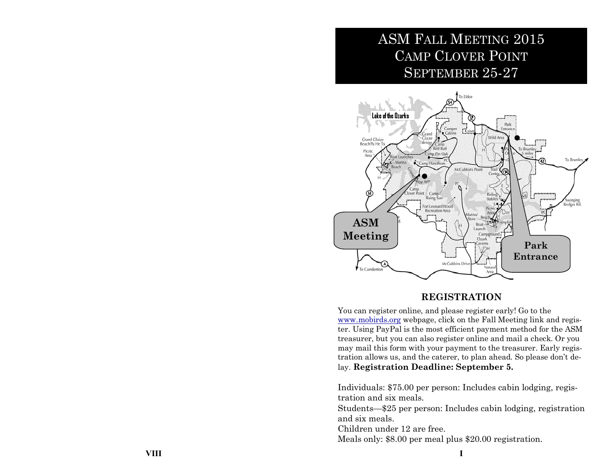# ASM FALL MEETING 2015 CAMP CLOVER POINT SEPTEMBER 25-27



## **REGISTRATION**

You can register online, and please register early! Go to the [www.mobirds.org](http://www.mobirds.org/) webpage, click on the Fall Meeting link and register. Using PayPal is the most efficient payment method for the ASM treasurer, but you can also register online and mail a check. Or you may mail this form with your payment to the treasurer. Early registration allows us, and the caterer, to plan ahead. So please don't delay. **Registration Deadline: September 5.**

Individuals: \$75.00 per person: Includes cabin lodging, registration and six meals.

Students—\$25 per person: Includes cabin lodging, registration and six meals.

Children under 12 are free.

Meals only: \$8.00 per meal plus \$20.00 registration.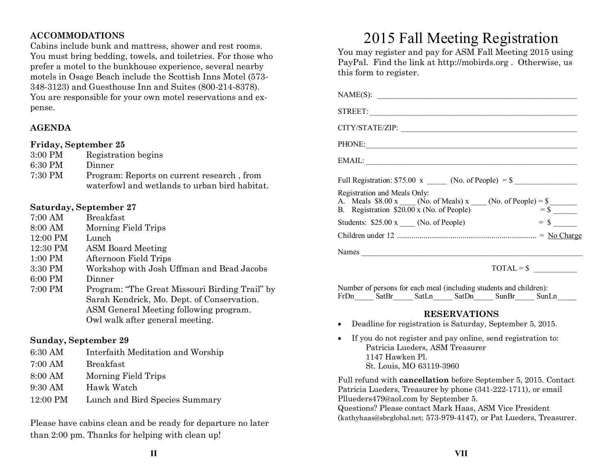## **ACCOMMODATIONS**

Cabins include bunk and mattress, shower and rest rooms. You must bring bedding, towels, and toiletries. For those who prefer a motel to the bunkhouse experience, several nearby motels in Osage Beach include the Scottish Inns Motel (573- 348-3123) and Guesthouse Inn and Suites (800-214-8378). You are responsible for your own motel reservations and expense.

## **AGENDA**

### **Friday, September 25**

| 3:00 PM | Registration begins                           |
|---------|-----------------------------------------------|
| 6:30 PM | Dinner                                        |
| 7:30 PM | Program: Reports on current research, from    |
|         | waterfowl and wetlands to urban bird habitat. |

### **Saturday, September 27**

| 7:00 AM   | <b>Breakfast</b>                               |
|-----------|------------------------------------------------|
| 8:00 AM   | Morning Field Trips                            |
| 12:00 PM  | Lunch                                          |
| 12:30 PM  | <b>ASM Board Meeting</b>                       |
| $1:00$ PM | Afternoon Field Trips                          |
| 3:30 PM   | Workshop with Josh Uffman and Brad Jacobs      |
| 6:00 PM   | Dinner                                         |
| 7:00 PM   | Program: "The Great Missouri Birding Trail" by |
|           | Sarah Kendrick, Mo. Dept. of Conservation.     |
|           | ASM General Meeting following program.         |
|           | Owl walk after general meeting.                |

### **Sunday, September 29**

- 6:30 AM Interfaith Meditation and Worship
- 7:00 AM Breakfast
- 8:00 AM Morning Field Trips
- 9:30 AM Hawk Watch
- 12:00 PM Lunch and Bird Species Summary

Please have cabins clean and be ready for departure no later than 2:00 pm. Thanks for helping with clean up!

# 2015 Fall Meeting Registration

You may register and pay for ASM Fall Meeting 2015 using PayPal. Find the link at http://mobirds.org . Otherwise, us this form to register.

| NAME(S):                                                                                                                                                                                    |                          |
|---------------------------------------------------------------------------------------------------------------------------------------------------------------------------------------------|--------------------------|
| STREET:                                                                                                                                                                                     |                          |
| CITY/STATE/ZIP:                                                                                                                                                                             |                          |
| PHONE:                                                                                                                                                                                      |                          |
|                                                                                                                                                                                             |                          |
| Full Registration: $$75.00 \text{ x }$ (No. of People) = $$$                                                                                                                                |                          |
| Registration and Meals Only:<br>A. Meals \$8.00 x (No. of Meals) x (No. of People) = $\frac{\text{S}}{\text{s}}$<br>B. Registration \$20.00 x (No. of People) = $\frac{\text{S}}{\text{s}}$ |                          |
| Students: $$25.00 \text{ x }$ (No. of People)                                                                                                                                               | $=$ \$                   |
|                                                                                                                                                                                             |                          |
| Names                                                                                                                                                                                       |                          |
| $TOTAL = $$                                                                                                                                                                                 | <b>Contract Contract</b> |

Number of persons for each meal (including students and children): FrDn SatBr SatLn SatDn SunBr SunLn

### **RESERVATIONS**

- Deadline for registration is Saturday, September 5, 2015.
- If you do not register and pay online, send registration to: Patricia Lueders, ASM Treasurer 1147 Hawken Pl. St. Louis, MO 63119-3960

Full refund with **cancellation** before September 5, 2015. Contact Patricia Lueders, Treasurer by phone (341-222-1711), or email Pllueders479@aol.com by September 5. Questions? Please contact Mark Haas, ASM Vice President (kathyhaas@sbcglobal.net; 573-979-4147), or Pat Lueders, Treasurer.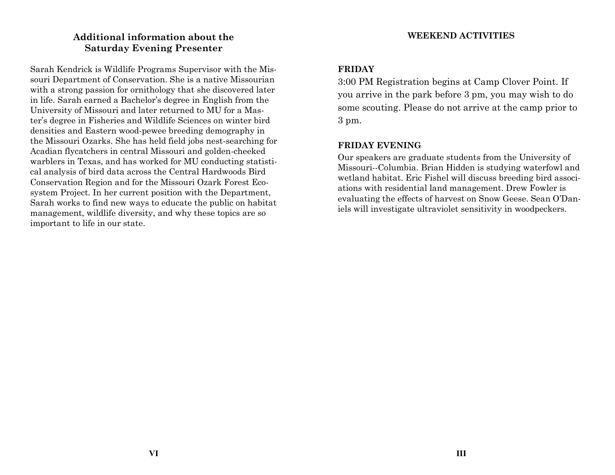# **Additional information about the Saturday Evening Presenter**

Sarah Kendrick is Wildlife Programs Supervisor with the Missouri Department of Conservation. She is a native Missourian with a strong passion for ornithology that she discovered later in life. Sarah earned a Bachelor's degree in English from the University of Missouri and later returned to MU for a Master's degree in Fisheries and Wildlife Sciences on winter bird densities and Eastern wood-pewee breeding demography in the Missouri Ozarks. She has held field jobs nest-searching for Acadian flycatchers in central Missouri and golden-cheeked warblers in Texas, and has worked for MU conducting statistical analysis of bird data across the Central Hardwoods Bird Conservation Region and for the Missouri Ozark Forest Ecosystem Project. In her current position with the Department, Sarah works to find new ways to educate the public on habitat management, wildlife diversity, and why these topics are so important to life in our state.

## **WEEKEND ACTIVITIES**

## **FRIDAY**

3:00 PM Registration begins at Camp Clover Point. If you arrive in the park before 3 pm, you may wish to do some scouting. Please do not arrive at the camp prior to 3 pm.

## **FRIDAY EVENING**

Our speakers are graduate students from the University of Missouri--Columbia. Brian Hidden is studying waterfowl and wetland habitat. Eric Fishel will discuss breeding bird associations with residential land management. Drew Fowler is evaluating the effects of harvest on Snow Geese. Sean O'Daniels will investigate ultraviolet sensitivity in woodpeckers.